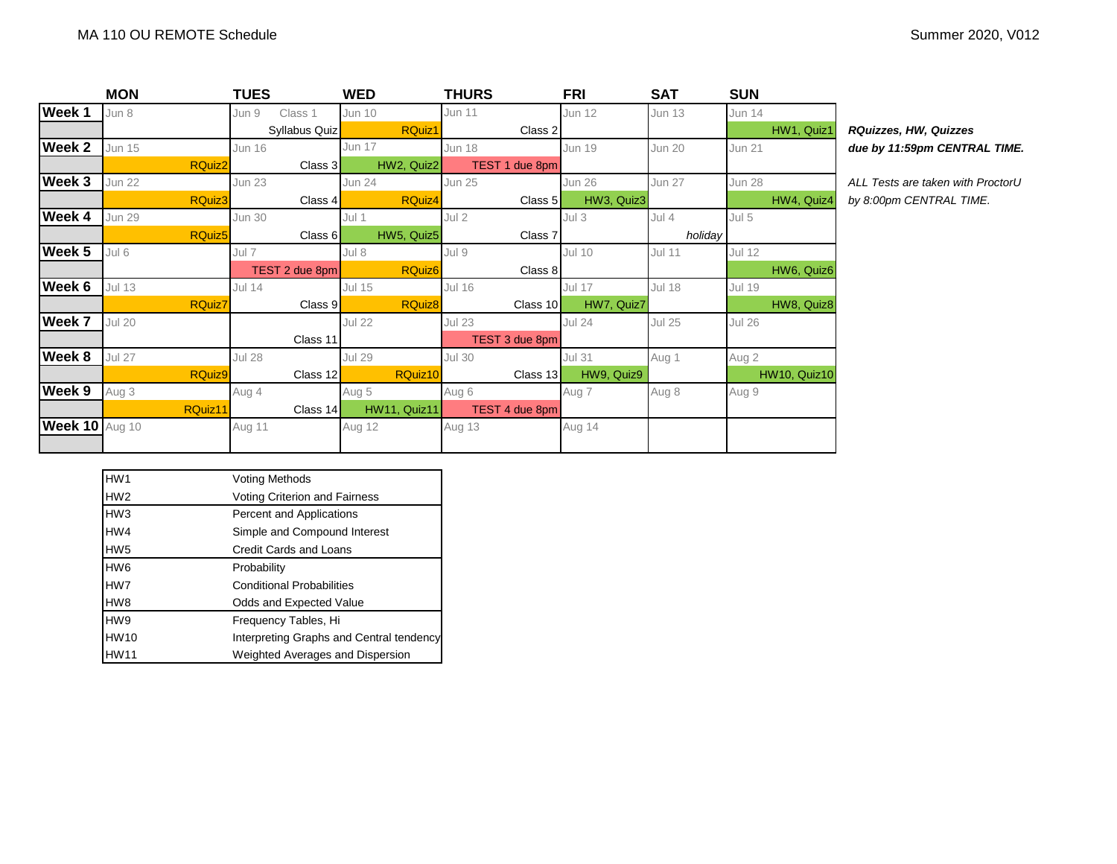| Summer 2020, V012 |  |  |
|-------------------|--|--|
|-------------------|--|--|

| Week 1<br>Jun 11<br>Jun 8<br><b>Jun 12</b><br>Jun 9<br>Class 1<br><b>Jun 10</b><br><b>Jun 13</b><br><b>Jun 14</b><br>HW1, Quiz1<br>RQuiz1<br>Syllabus Quiz<br>Class 2<br>RQuizzes, HW, Quizzes<br>Week 2<br><b>Jun 15</b><br><b>Jun 16</b><br>Jun 17<br><b>Jun 19</b><br><b>Jun 18</b><br><b>Jun 21</b><br><b>Jun 20</b><br>due by 11:59pm CENTR<br><b>RQuiz2</b><br>HW2, Quiz2<br>TEST 1 due 8pm<br>Class 3<br>Week 3<br><b>Jun 22</b><br><b>Jun 23</b><br><b>Jun 27</b><br><b>Jun 25</b><br><b>Jun 26</b><br><b>Jun 28</b><br>Jun 24<br>ALL Tests are taken with<br>RQuiz3<br><b>RQuiz4</b><br>HW3, Quiz3<br>HW4, Quiz4<br>Class 4<br>Class $51$<br>by 8:00pm CENTRAL TIN<br>Week 4<br>Jul 2<br>$Jul$ 4<br>Jul 5<br><b>Jun 29</b><br><b>Jun 30</b><br>Jul 1<br>Jul <sub>3</sub><br>RQuiz <sub>5</sub><br>HW5, Quiz5<br>Class 6<br>Class 7<br>holiday<br>Week 5<br>Jul 6<br>Jul 9<br><b>Jul 12</b><br><b>Jul 10</b><br><b>Jul 11</b><br>Jul 7<br>Jul 8<br><b>RQuiz6</b><br>Class 8<br>HW6, Quiz6<br>TEST 2 due 8pm<br>Week 6<br><b>Jul 13</b><br><b>Jul 16</b><br><b>Jul 18</b><br><b>Jul 14</b><br><b>Jul 15</b><br>Jul 17<br><b>Jul 19</b> |  |
|-----------------------------------------------------------------------------------------------------------------------------------------------------------------------------------------------------------------------------------------------------------------------------------------------------------------------------------------------------------------------------------------------------------------------------------------------------------------------------------------------------------------------------------------------------------------------------------------------------------------------------------------------------------------------------------------------------------------------------------------------------------------------------------------------------------------------------------------------------------------------------------------------------------------------------------------------------------------------------------------------------------------------------------------------------------------------------------------------------------------------------------------------|--|
|                                                                                                                                                                                                                                                                                                                                                                                                                                                                                                                                                                                                                                                                                                                                                                                                                                                                                                                                                                                                                                                                                                                                               |  |
|                                                                                                                                                                                                                                                                                                                                                                                                                                                                                                                                                                                                                                                                                                                                                                                                                                                                                                                                                                                                                                                                                                                                               |  |
|                                                                                                                                                                                                                                                                                                                                                                                                                                                                                                                                                                                                                                                                                                                                                                                                                                                                                                                                                                                                                                                                                                                                               |  |
|                                                                                                                                                                                                                                                                                                                                                                                                                                                                                                                                                                                                                                                                                                                                                                                                                                                                                                                                                                                                                                                                                                                                               |  |
|                                                                                                                                                                                                                                                                                                                                                                                                                                                                                                                                                                                                                                                                                                                                                                                                                                                                                                                                                                                                                                                                                                                                               |  |
|                                                                                                                                                                                                                                                                                                                                                                                                                                                                                                                                                                                                                                                                                                                                                                                                                                                                                                                                                                                                                                                                                                                                               |  |
|                                                                                                                                                                                                                                                                                                                                                                                                                                                                                                                                                                                                                                                                                                                                                                                                                                                                                                                                                                                                                                                                                                                                               |  |
|                                                                                                                                                                                                                                                                                                                                                                                                                                                                                                                                                                                                                                                                                                                                                                                                                                                                                                                                                                                                                                                                                                                                               |  |
|                                                                                                                                                                                                                                                                                                                                                                                                                                                                                                                                                                                                                                                                                                                                                                                                                                                                                                                                                                                                                                                                                                                                               |  |
|                                                                                                                                                                                                                                                                                                                                                                                                                                                                                                                                                                                                                                                                                                                                                                                                                                                                                                                                                                                                                                                                                                                                               |  |
|                                                                                                                                                                                                                                                                                                                                                                                                                                                                                                                                                                                                                                                                                                                                                                                                                                                                                                                                                                                                                                                                                                                                               |  |
| RQuiz8<br>RQuiz7<br>HW7, Quiz7<br>HW8, Quiz8<br>Class 9<br>Class 10                                                                                                                                                                                                                                                                                                                                                                                                                                                                                                                                                                                                                                                                                                                                                                                                                                                                                                                                                                                                                                                                           |  |
| Week 7<br><b>Jul 20</b><br><b>Jul 22</b><br><b>Jul 23</b><br><b>Jul 25</b><br><b>Jul 26</b><br><b>Jul 24</b>                                                                                                                                                                                                                                                                                                                                                                                                                                                                                                                                                                                                                                                                                                                                                                                                                                                                                                                                                                                                                                  |  |
| Class 11<br>TEST 3 due 8pm                                                                                                                                                                                                                                                                                                                                                                                                                                                                                                                                                                                                                                                                                                                                                                                                                                                                                                                                                                                                                                                                                                                    |  |
| Week 8<br><b>Jul 27</b><br><b>Jul 28</b><br><b>Jul 30</b><br>Jul 29<br><b>Jul 31</b><br>Aug 1<br>Aug 2                                                                                                                                                                                                                                                                                                                                                                                                                                                                                                                                                                                                                                                                                                                                                                                                                                                                                                                                                                                                                                        |  |
| RQuiz9<br>RQuiz10<br>HW9, Quiz9<br><b>HW10, Quiz10</b><br>Class 12<br>Class 13                                                                                                                                                                                                                                                                                                                                                                                                                                                                                                                                                                                                                                                                                                                                                                                                                                                                                                                                                                                                                                                                |  |
| Week 9<br>Aug 3<br>8 Aug<br>Aug 4<br>Aug 5<br>Aug 6<br>Aug 7<br>Aug 9                                                                                                                                                                                                                                                                                                                                                                                                                                                                                                                                                                                                                                                                                                                                                                                                                                                                                                                                                                                                                                                                         |  |
| RQuiz11<br>HW11, Quiz11<br>TEST 4 due 8pm<br>Class 14                                                                                                                                                                                                                                                                                                                                                                                                                                                                                                                                                                                                                                                                                                                                                                                                                                                                                                                                                                                                                                                                                         |  |
| <b>Week 10 Aug 10</b><br>Aug 13<br>Aug 14<br>Aug 11<br>Aug 12                                                                                                                                                                                                                                                                                                                                                                                                                                                                                                                                                                                                                                                                                                                                                                                                                                                                                                                                                                                                                                                                                 |  |
|                                                                                                                                                                                                                                                                                                                                                                                                                                                                                                                                                                                                                                                                                                                                                                                                                                                                                                                                                                                                                                                                                                                                               |  |

| <b>RQuizzes, HW, Quizzes</b> |
|------------------------------|
| due by 11:59pm CENTRAL TIME. |

**Week 3** Jun 22 Jun 23 Jun 24 Jun 25 Jun 26 Jun 27 Jun 28 *ALL Tests are taken with ProctorU*  $B.00$ pm CENTRAL TIME.

| HW <sub>1</sub> | <b>Voting Methods</b>                    |
|-----------------|------------------------------------------|
| HW <sub>2</sub> | <b>Voting Criterion and Fairness</b>     |
| HW <sub>3</sub> | Percent and Applications                 |
| HW4             | Simple and Compound Interest             |
| HW <sub>5</sub> | Credit Cards and Loans                   |
| HW <sub>6</sub> | Probability                              |
| HW7             | <b>Conditional Probabilities</b>         |
| HW8             | Odds and Expected Value                  |
| HW9             | Frequency Tables, Hi                     |
| <b>HW10</b>     | Interpreting Graphs and Central tendency |
| <b>HW11</b>     | Weighted Averages and Dispersion         |